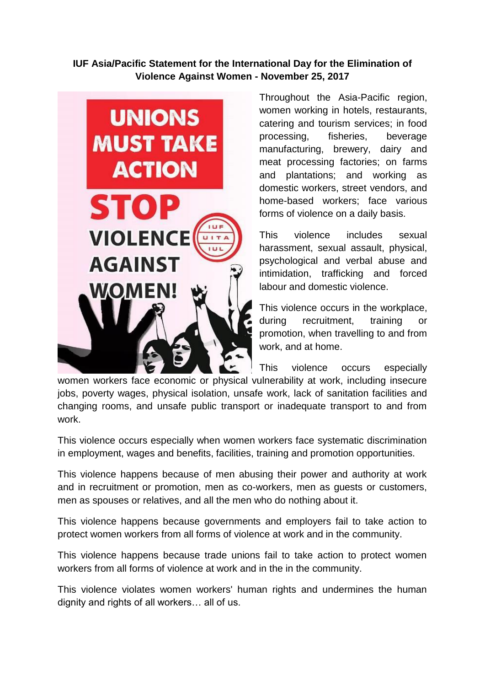**IUF Asia/Pacific Statement for the International Day for the Elimination of Violence Against Women - November 25, 2017**



Throughout the Asia-Pacific region, women working in hotels, restaurants, catering and tourism services; in food processing, fisheries, beverage manufacturing, brewery, dairy and meat processing factories; on farms and plantations; and working as domestic workers, street vendors, and home-based workers; face various forms of violence on a daily basis.

This violence includes sexual harassment, sexual assault, physical, psychological and verbal abuse and intimidation, trafficking and forced labour and domestic violence.

This violence occurs in the workplace, during recruitment, training or promotion, when travelling to and from work, and at home.

This violence occurs especially

women workers face economic or physical vulnerability at work, including insecure jobs, poverty wages, physical isolation, unsafe work, lack of sanitation facilities and changing rooms, and unsafe public transport or inadequate transport to and from work.

This violence occurs especially when women workers face systematic discrimination in employment, wages and benefits, facilities, training and promotion opportunities.

This violence happens because of men abusing their power and authority at work and in recruitment or promotion, men as co-workers, men as guests or customers, men as spouses or relatives, and all the men who do nothing about it.

This violence happens because governments and employers fail to take action to protect women workers from all forms of violence at work and in the community.

This violence happens because trade unions fail to take action to protect women workers from all forms of violence at work and in the in the community.

This violence violates women workers' human rights and undermines the human dignity and rights of all workers… all of us.